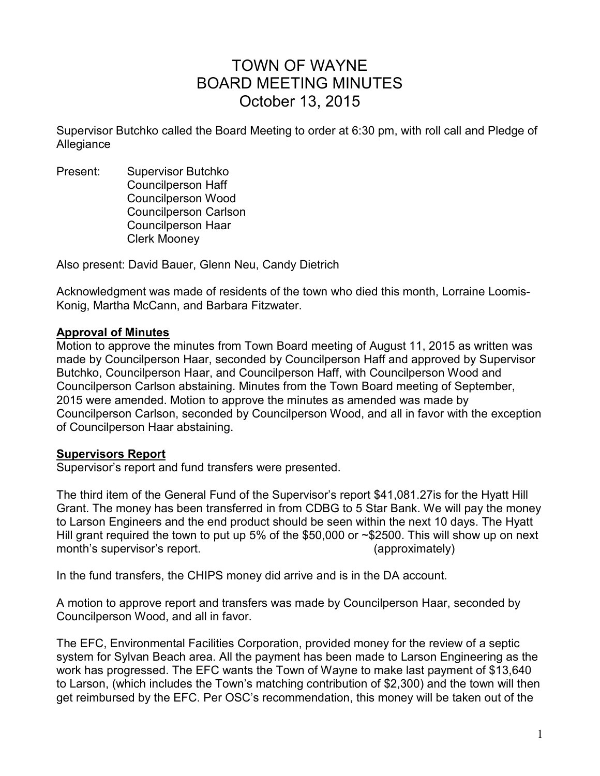# TOWN OF WAYNE BOARD MEETING MINUTES October 13, 2015

Supervisor Butchko called the Board Meeting to order at 6:30 pm, with roll call and Pledge of Allegiance

Present: Supervisor Butchko Councilperson Haff Councilperson Wood Councilperson Carlson Councilperson Haar Clerk Mooney

Also present: David Bauer, Glenn Neu, Candy Dietrich

Acknowledgment was made of residents of the town who died this month, Lorraine Loomis-Konig, Martha McCann, and Barbara Fitzwater.

#### **Approval of Minutes**

Motion to approve the minutes from Town Board meeting of August 11, 2015 as written was made by Councilperson Haar, seconded by Councilperson Haff and approved by Supervisor Butchko, Councilperson Haar, and Councilperson Haff, with Councilperson Wood and Councilperson Carlson abstaining. Minutes from the Town Board meeting of September, 2015 were amended. Motion to approve the minutes as amended was made by Councilperson Carlson, seconded by Councilperson Wood, and all in favor with the exception of Councilperson Haar abstaining.

#### **Supervisors Report**

Supervisor's report and fund transfers were presented.

The third item of the General Fund of the Supervisor's report \$41,081.27is for the Hyatt Hill Grant. The money has been transferred in from CDBG to 5 Star Bank. We will pay the money to Larson Engineers and the end product should be seen within the next 10 days. The Hyatt Hill grant required the town to put up 5% of the \$50,000 or ~\$2500. This will show up on next month's supervisor's report. (approximately)

In the fund transfers, the CHIPS money did arrive and is in the DA account.

A motion to approve report and transfers was made by Councilperson Haar, seconded by Councilperson Wood, and all in favor.

The EFC, Environmental Facilities Corporation, provided money for the review of a septic system for Sylvan Beach area. All the payment has been made to Larson Engineering as the work has progressed. The EFC wants the Town of Wayne to make last payment of \$13,640 to Larson, (which includes the Town's matching contribution of \$2,300) and the town will then get reimbursed by the EFC. Per OSC's recommendation, this money will be taken out of the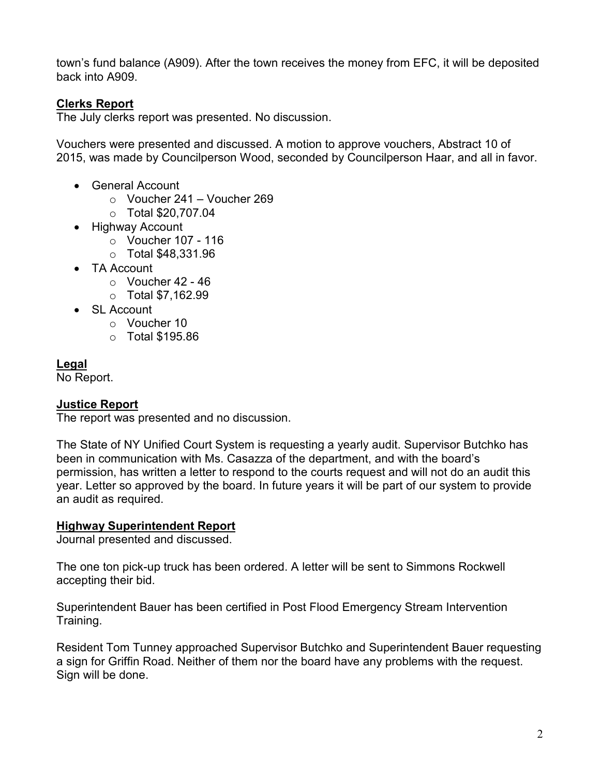town's fund balance (A909). After the town receives the money from EFC, it will be deposited back into A909.

# **Clerks Report**

The July clerks report was presented. No discussion.

Vouchers were presented and discussed. A motion to approve vouchers, Abstract 10 of 2015, was made by Councilperson Wood, seconded by Councilperson Haar, and all in favor.

- General Account
	- $\circ$  Voucher 241 Voucher 269
	- o Total \$20,707.04
- Highway Account
	- o Voucher 107 116
	- o Total \$48,331.96
- TA Account
	- $\circ$  Voucher 42 46
	- o Total \$7,162.99
- SL Account
	- o Voucher 10
	- $\circ$  Total \$195.86

#### **Legal**

No Report.

#### **Justice Report**

The report was presented and no discussion.

The State of NY Unified Court System is requesting a yearly audit. Supervisor Butchko has been in communication with Ms. Casazza of the department, and with the board's permission, has written a letter to respond to the courts request and will not do an audit this year. Letter so approved by the board. In future years it will be part of our system to provide an audit as required.

#### **Highway Superintendent Report**

Journal presented and discussed.

The one ton pick-up truck has been ordered. A letter will be sent to Simmons Rockwell accepting their bid.

Superintendent Bauer has been certified in Post Flood Emergency Stream Intervention Training.

Resident Tom Tunney approached Supervisor Butchko and Superintendent Bauer requesting a sign for Griffin Road. Neither of them nor the board have any problems with the request. Sign will be done.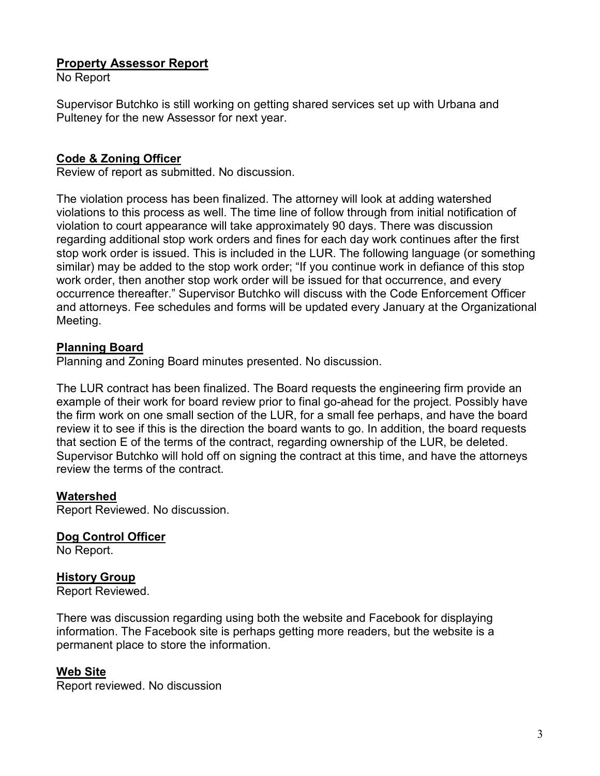# **Property Assessor Report**

No Report

Supervisor Butchko is still working on getting shared services set up with Urbana and Pulteney for the new Assessor for next year.

# **Code & Zoning Officer**

Review of report as submitted. No discussion.

The violation process has been finalized. The attorney will look at adding watershed violations to this process as well. The time line of follow through from initial notification of violation to court appearance will take approximately 90 days. There was discussion regarding additional stop work orders and fines for each day work continues after the first stop work order is issued. This is included in the LUR. The following language (or something similar) may be added to the stop work order; "If you continue work in defiance of this stop work order, then another stop work order will be issued for that occurrence, and every occurrence thereafter." Supervisor Butchko will discuss with the Code Enforcement Officer and attorneys. Fee schedules and forms will be updated every January at the Organizational Meeting.

#### **Planning Board**

Planning and Zoning Board minutes presented. No discussion.

The LUR contract has been finalized. The Board requests the engineering firm provide an example of their work for board review prior to final go-ahead for the project. Possibly have the firm work on one small section of the LUR, for a small fee perhaps, and have the board review it to see if this is the direction the board wants to go. In addition, the board requests that section E of the terms of the contract, regarding ownership of the LUR, be deleted. Supervisor Butchko will hold off on signing the contract at this time, and have the attorneys review the terms of the contract.

#### **Watershed**

Report Reviewed. No discussion.

**Dog Control Officer**  No Report.

# **History Group**

Report Reviewed.

There was discussion regarding using both the website and Facebook for displaying information. The Facebook site is perhaps getting more readers, but the website is a permanent place to store the information.

#### **Web Site**

Report reviewed. No discussion